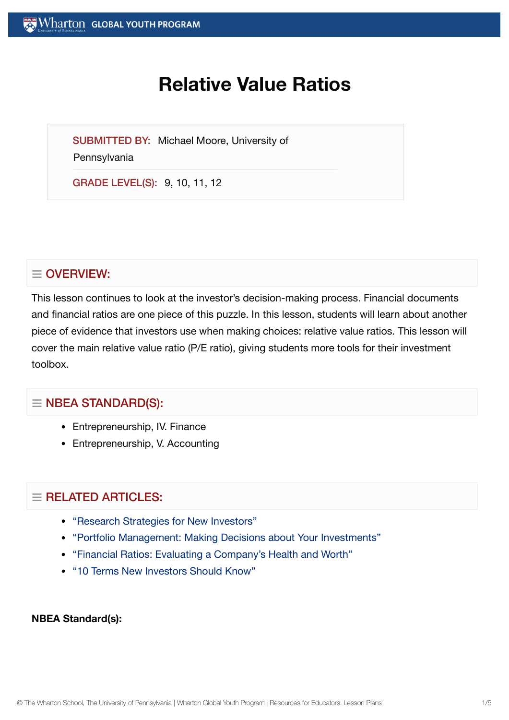# **Relative Value Ratios**

SUBMITTED BY: Michael Moore, University of

**Pennsylvania** 

GRADE LEVEL(S): 9, 10, 11, 12

# $\equiv$  OVERVIEW:

This lesson continues to look at the investor's decision-making process. Financial documents and financial ratios are one piece of this puzzle. In this lesson, students will learn about another piece of evidence that investors use when making choices: relative value ratios. This lesson will cover the main relative value ratio (P/E ratio), giving students more tools for their investment toolbox.

# $\equiv$  NBEA STANDARD(S):

- Entrepreneurship, IV. Finance
- Entrepreneurship, V. Accounting

# $=$  RELATED ARTICLES:

- "Research [Strategies for](https://globalyouth.wharton.upenn.edu/articles/research-strategies-for-new-investors/) New Investors"
- "Portfolio Management: Making [Decisions about](https://globalyouth.wharton.upenn.edu/articles/portfolio-management-making-decisions-about-your-investments/) Your Investments"
- "Financial Ratios: Evaluating a [Company's Health](https://globalyouth.wharton.upenn.edu/articles/financial-ratios-evaluating-a-companys-health-and-worth/) and Worth"
- "10 Terms New [Investors Should](https://globalyouth.wharton.upenn.edu/articles/the-top-10-terms-every-new-investor-should-know/) Know"

## **NBEA Standard(s):**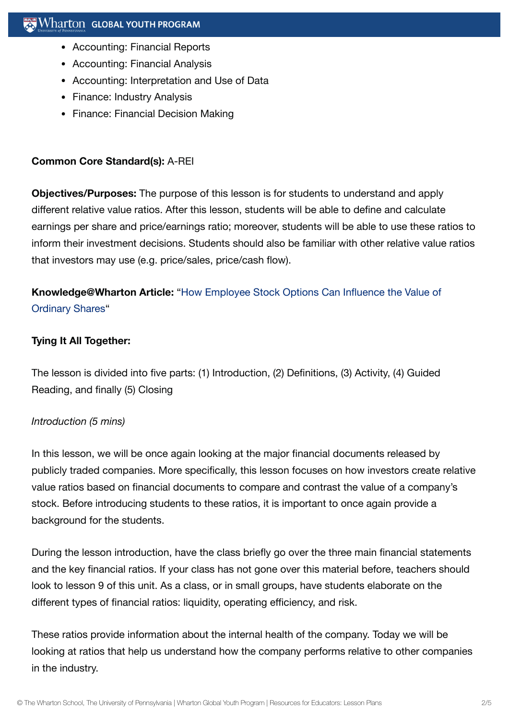- Accounting: Financial Reports
- Accounting: Financial Analysis
- Accounting: Interpretation and Use of Data
- Finance: Industry Analysis
- Finance: Financial Decision Making

# **Common Core Standard(s):** A-REI

**Objectives/Purposes:** The purpose of this lesson is for students to understand and apply different relative value ratios. After this lesson, students will be able to define and calculate earnings per share and price/earnings ratio; moreover, students will be able to use these ratios to inform their investment decisions. Students should also be familiar with other relative value ratios that investors may use (e.g. price/sales, price/cash flow).

# **[Knowledge@Wharton](http://knowledge.wharton.upenn.edu/article.cfm?articleid=896) Article:** "How Employee Stock Options Can Influence the Value of Ordinary Shares"

## **Tying It All Together:**

The lesson is divided into five parts: (1) Introduction, (2) Definitions, (3) Activity, (4) Guided Reading, and finally (5) Closing

## *Introduction (5 mins)*

In this lesson, we will be once again looking at the major financial documents released by publicly traded companies. More specifically, this lesson focuses on how investors create relative value ratios based on financial documents to compare and contrast the value of a company's stock. Before introducing students to these ratios, it is important to once again provide a background for the students.

During the lesson introduction, have the class briefly go over the three main financial statements and the key financial ratios. If your class has not gone over this material before, teachers should look to lesson 9 of this unit. As a class, or in small groups, have students elaborate on the different types of financial ratios: liquidity, operating efficiency, and risk.

These ratios provide information about the internal health of the company. Today we will be looking at ratios that help us understand how the company performs relative to other companies in the industry.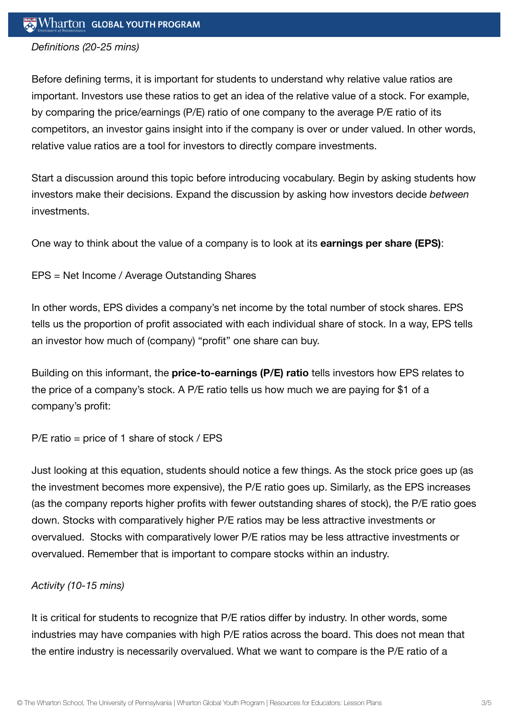# $\mathbb{R}$  Wharton Global Youth Program

#### *Definitions (20-25 mins)*

Before defining terms, it is important for students to understand why relative value ratios are important. Investors use these ratios to get an idea of the relative value of a stock. For example, by comparing the price/earnings (P/E) ratio of one company to the average P/E ratio of its competitors, an investor gains insight into if the company is over or under valued. In other words, relative value ratios are a tool for investors to directly compare investments.

Start a discussion around this topic before introducing vocabulary. Begin by asking students how investors make their decisions. Expand the discussion by asking how investors decide *between* investments.

One way to think about the value of a company is to look at its **earnings per share (EPS)**:

#### EPS = Net Income / Average Outstanding Shares

In other words, EPS divides a company's net income by the total number of stock shares. EPS tells us the proportion of profit associated with each individual share of stock. In a way, EPS tells an investor how much of (company) "profit" one share can buy.

Building on this informant, the **price-to-earnings (P/E) ratio** tells investors how EPS relates to the price of a company's stock. A P/E ratio tells us how much we are paying for \$1 of a company's profit:

P/E ratio = price of 1 share of stock / EPS

Just looking at this equation, students should notice a few things. As the stock price goes up (as the investment becomes more expensive), the P/E ratio goes up. Similarly, as the EPS increases (as the company reports higher profits with fewer outstanding shares of stock), the P/E ratio goes down. Stocks with comparatively higher P/E ratios may be less attractive investments or overvalued. Stocks with comparatively lower P/E ratios may be less attractive investments or overvalued. Remember that is important to compare stocks within an industry.

## *Activity (10-15 mins)*

It is critical for students to recognize that P/E ratios differ by industry. In other words, some industries may have companies with high P/E ratios across the board. This does not mean that the entire industry is necessarily overvalued. What we want to compare is the P/E ratio of a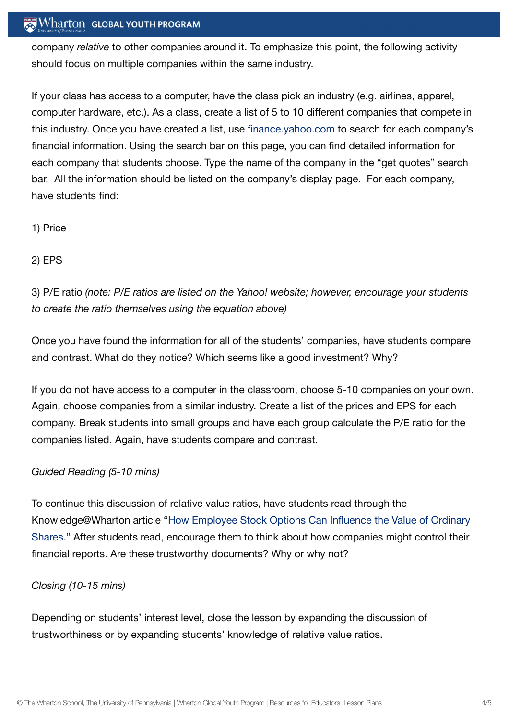# $\mathbb{R}$  Wharton Global Youth Program

company *relative* to other companies around it. To emphasize this point, the following activity should focus on multiple companies within the same industry.

If your class has access to a computer, have the class pick an industry (e.g. airlines, apparel, computer hardware, etc.). As a class, create a list of 5 to 10 different companies that compete in this industry. Once you have created a list, use [finance.yahoo.com](http://finance.yahoo.com/) to search for each company's financial information. Using the search bar on this page, you can find detailed information for each company that students choose. Type the name of the company in the "get quotes" search bar. All the information should be listed on the company's display page. For each company, have students find:

- 1) Price
- 2) EPS

3) P/E ratio *(note: P/E ratios are listed on the Yahoo! website; however, encourage your students to create the ratio themselves using the equation above)*

Once you have found the information for all of the students' companies, have students compare and contrast. What do they notice? Which seems like a good investment? Why?

If you do not have access to a computer in the classroom, choose 5-10 companies on your own. Again, choose companies from a similar industry. Create a list of the prices and EPS for each company. Break students into small groups and have each group calculate the P/E ratio for the companies listed. Again, have students compare and contrast.

## *Guided Reading (5-10 mins)*

To continue this discussion of relative value ratios, have students read through the [Knowledge@Wharton](http://knowledge.wharton.upenn.edu/article.cfm?articleid=896) article "How Employee Stock Options Can Influence the Value of Ordinary Shares." After students read, encourage them to think about how companies might control their financial reports. Are these trustworthy documents? Why or why not?

## *Closing (10-15 mins)*

Depending on students' interest level, close the lesson by expanding the discussion of trustworthiness or by expanding students' knowledge of relative value ratios.